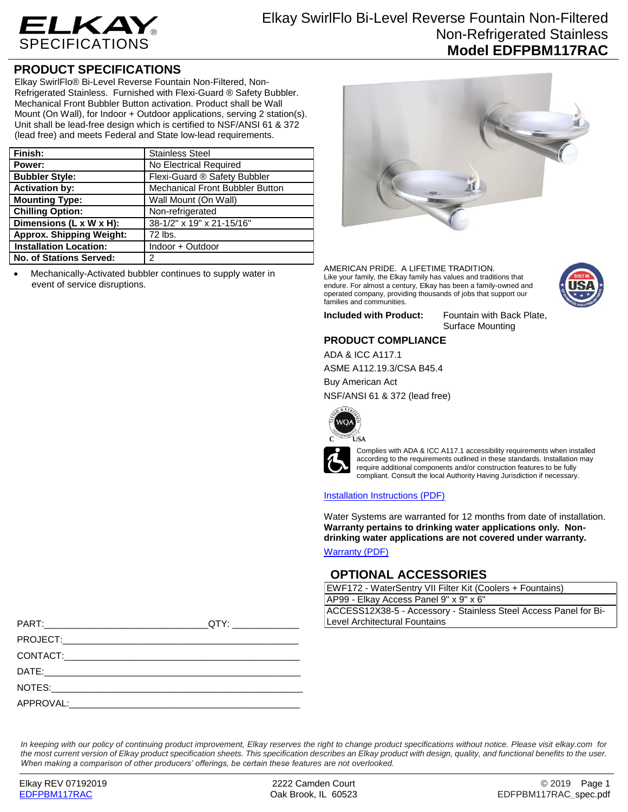

## **PRODUCT SPECIFICATIONS**

Elkay SwirlFlo® Bi-Level Reverse Fountain Non-Filtered, Non-Refrigerated Stainless. Furnished with Flexi-Guard ® Safety Bubbler. Mechanical Front Bubbler Button activation. Product shall be Wall Mount (On Wall), for Indoor + Outdoor applications, serving 2 station(s). Unit shall be lead-free design which is certified to NSF/ANSI 61 & 372 (lead free) and meets Federal and State low-lead requirements.

| Finish:                         | <b>Stainless Steel</b>                 |
|---------------------------------|----------------------------------------|
| Power:                          | No Electrical Required                 |
| <b>Bubbler Style:</b>           | Flexi-Guard ® Safety Bubbler           |
| <b>Activation by:</b>           | <b>Mechanical Front Bubbler Button</b> |
| <b>Mounting Type:</b>           | Wall Mount (On Wall)                   |
| <b>Chilling Option:</b>         | Non-refrigerated                       |
| Dimensions (L x W x H):         | 38-1/2" x 19" x 21-15/16"              |
| <b>Approx. Shipping Weight:</b> | 72 lbs.                                |
| <b>Installation Location:</b>   | Indoor + Outdoor                       |
| <b>No. of Stations Served:</b>  | 2                                      |

 Mechanically-Activated bubbler continues to supply water in event of service disruptions.



AMERICAN PRIDE. A LIFETIME TRADITION. Like your family, the Elkay family has values and traditions that endure. For almost a century, Elkay has been a family-owned and operated company, providing thousands of jobs that support our families and communities.



**Included with Product:** Fountain with Back Plate, Surface Mounting

### **PRODUCT COMPLIANCE**

ADA & ICC A117.1 ASME A112.19.3/CSA B45.4

Buy American Act

NSF/ANSI 61 & 372 (lead free)





Complies with ADA & ICC A117.1 accessibility requirements when installed according to the requirements outlined in these standards. Installation may require additional components and/or construction features to be fully compliant. Consult the local Authority Having Jurisdiction if necessary.

#### [Installation Instructions \(PDF\)](http://www.elkay.com/wcsstore/lkdocs/care-cleaning-install-warranty-sheets/97922c.pdf)

Water Systems are warranted for 12 months from date of installation. **Warranty pertains to drinking water applications only. Nondrinking water applications are not covered under warranty.**

[Warranty](http://www.elkay.com/wcsstore/lkdocs/care-cleaning-install-warranty-sheets/96993c.pdf) (PDF)

### **OPTIONAL ACCESSORIES**

EWF172 - WaterSentry VII Filter Kit (Coolers + Fountains)

AP99 - Elkay Access Panel 9" x 9" x 6" ACCESS12X38-5 - Accessory - Stainless Steel Access Panel for Bi-Level Architectural Fountains

| PART: A PART A PART AND A PART AND A PART AND A PART AND A PART AND A PART AND A PART AND A PART AND A PART AND A PART AND A PART AND A PART AND A PART AND A PART AND A PART AND A PART AND A PART AND A PART AND A PART AND |  |
|-------------------------------------------------------------------------------------------------------------------------------------------------------------------------------------------------------------------------------|--|
|                                                                                                                                                                                                                               |  |
|                                                                                                                                                                                                                               |  |
|                                                                                                                                                                                                                               |  |
|                                                                                                                                                                                                                               |  |
| APPROVAL:                                                                                                                                                                                                                     |  |

*In keeping with our policy of continuing product improvement, Elkay reserves the right to change product specifications without notice. Please visit elkay.com for the most current version of Elkay product specification sheets. This specification describes an Elkay product with design, quality, and functional benefits to the user. When making a comparison of other producers' offerings, be certain these features are not overlooked.*